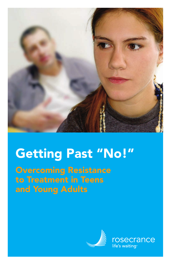

# **Getting Past "No!"**

**Overcoming Resistance to Treatment in Teens and Young Adults**



rosecrance life's waiting<sup>®</sup>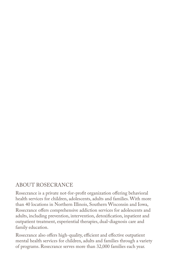#### ABOUT ROSECRANCE

Rosecrance is a private not-for-profit organization offering behavioral health services for children, adolescents, adults and families. With more than 40 locations in Northern Illinois, Southern Wisconsin and Iowa, Rosecrance offers comprehensive addiction services for adolescents and adults, including prevention, intervention, detoxification, inpatient and outpatient treatment, experiential therapies, dual-diagnosis care and family education.

Rosecrance also offers high-quality, efficient and effective outpatient mental health services for children, adults and families through a variety of programs. Rosecrance serves more than 32,000 families each year.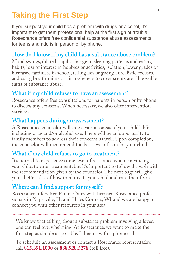# **Taking the First Step**

If you suspect your child has a problem with drugs or alcohol, it's important to get them professional help at the first sign of trouble. Rosecrance offers free confidential substance abuse assessments for teens and adults in person or by phone.

## **How do I know if my child has a substance abuse problem?**

Mood swings, dilated pupils, change in sleeping patterns and eating habits, loss of interest in hobbies or activities, isolation, lower grades or increased tardiness in school, telling lies or giving unrealistic excuses, and using breath mints or air fresheners to cover scents are all possible signs of substance abuse.

#### **What if my child refuses to have an assessment?**

Rosecrance offers free consultations for parents in person or by phone to discuss any concerns. When necessary, we also offer intervention services.

#### **What happens during an assessment?**

A Rosecrance counselor will assess various areas of your child's life, including drug and/or alcohol use. There will be an opportunity for family members to address their concerns as well. Upon completion, the counselor will recommend the best level of care for your child.

#### **What if my child refuses to go to treatment?**

It's normal to experience some level of resistance when convincing your child to enter treatment, but it's important to follow through with the recommendation given by the counselor. The next page will give you a better idea of how to motivate your child and ease their fears.

## **Where can I find support for myself ?**

Rosecrance offers free Parent Cafés with licensed Rosecrance professionals in Naperville, IL and Hales Corners, WI and we are happy to connect you with other resources in your area.

We know that talking about a substance problem involving a loved one can feel overwhelming. At Rosecrance, we want to make the first step as simple as possible. It begins with a phone call.

To schedule an assessment or contact a Rosecrance representative call **815.391.1000** or **888.928.5278** (toll free).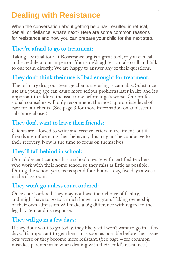# **Dealing with Resistance**

When the conversation about getting help has resulted in refusal, denial, or defiance, what's next? Here are some common reasons for resistance and how you can prepare your child for the next step.

#### **They're afraid to go to treatment:**

Taking a virtual tour at Rosecrance.org is a great tool, or you can call and schedule a tour in person. Your son/daughter can also call and talk to our team directly. We are happy to answer any of their questions.

## **They don't think their use is "bad enough" for treatment:**

The primary drug our teenage clients are using is cannabis. Substance use at a young age can cause more serious problems later in life and it's important to address the issue now before it gets worse. Our professional counselors will only recommend the most appropriate level of care for our clients. (See page 3 for more information on adolescent substance abuse.)

## **They don't want to leave their friends**:

Clients are allowed to write and receive letters in treatment, but if friends are influencing their behavior, this may not be conducive to their recovery. Now is the time to focus on themselves.

## **They'll fall behind in school:**

Our adolescent campus has a school on-site with certified teachers who work with their home school so they miss as little as possible. During the school year, teens spend four hours a day, five days a week in the classroom.

#### **They won't go unless court ordered:**

Once court ordered, they may not have their choice of facility, and might have to go to a much longer program. Taking ownership of their own admission will make a big difference with regard to the legal system and its response.

## **They will go in a few days:**

If they don't want to go today, they likely still won't want to go in a few days. It's important to get them in as soon as possible before their issue gets worse or they become more resistant. (See page 4 for common mistakes parents make when dealing with their child's resistance.)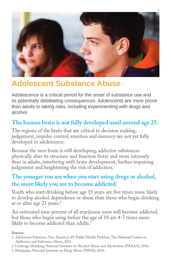

# **Adolescent Substance Abuse**

Adolescence is a critical period for the onset of substance use and its potentially debilitating consequences. Adolescents are more prone than adults to taking risks, including experimenting with drugs and alcohol.

## **The human brain is not fully developed until around age 25.**

The regions of the brain that are critical to decision making, judgement, impulse control, emotion and memory are not yet fully developed in adolescence.

Because the teen brain is still developing, addictive substances physically alter its structure and function faster and more intensely than in adults, interfering with brain development, further impairing judgement and heightening the risk of addiction.<sup>1</sup>

#### **The younger you are when you start using drugs or alcohol, the more likely you are to become addicted.**

Youth who start drinking before age 15 years are five times more likely to develop alcohol dependence or abuse than those who begin drinking at or after age 21 years.2

An estimated nine percent of all marijuana users will become addicted, but those who begin using before the age of 18 are 4-7 times more likely to become addicted than adults.<sup>3</sup>

#### **Sources:**

- 1. Adolescent Substance Use: America's #1 Public Health Problem, The National Center on Addiction and Substance Abuse, 2011
- 2. Underage Drinking, National Institute on Alcohol Abuse and Alcoholism (NIAAA), 2016.
- 3. Marijuana, National Institute on Drug Abuse (NIDA), 2016.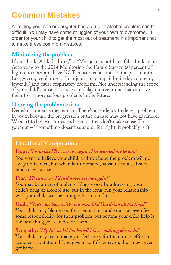# **Common Mistakes**

Admitting your son or daughter has a drug or alcohol problem can be difficult. You may have some struggles of your own to overcome. In order for your child to get the most out of treatment, it's important not to make these common mistakes.

#### **Minimizing the problem**

If you think "All kids drink," or "Marijuana's not harmful," think again. According to the 2014 Monitoring the Future Survey, 60 percent of high school seniors have NOT consumed alcohol in the past month. Long-term, regular use of marijuana may impair brain development, lower IQ and cause respiratory problems. Not understanding the scope of your child's substance issue can delay interventions that can save them from more serious problems in the future.

#### **Denying the problem exists**

Denial is a defense mechanism. There's a tendency to deny a problem in youth because the progression of the disease may not have advanced. We start to believe stories and excuses that don't make sense. Trust your gut – if something doesn't sound or feel right, it probably isn't.

#### **Emotional Manipulation**

#### **Hope:** *"I promise I'll never use again. I've learned my lesson."*

You want to believe your child, and you hope the problem will go away on its own, but when left untreated, substance abuse issues tend to get worse.

#### **Fear:** *"I'll run away! You'll never see me again!"*

You may be afraid of making things worse by addressing your child's drug or alcohol use, but in the long-run your relationship with your child will be stronger because of it.

**Guilt:** *" You're too busy with your own life! You drink all the time!"* Your child may blame you for their actions and you may even feel some responsibility for their problem, but getting your child help is the best thing you can do for them.

**Sympathy:** *"My life sucks! I'm bored! I have nothing else to do!"* Your child may try to make you feel sorry for them in an effort to avoid confrontation. If you give in to this behavior, they may never get better.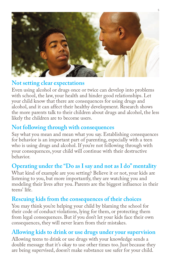

#### **Not setting clear expectations**

Even using alcohol or drugs once or twice can develop into problems with school, the law, your health and hinder good relationships. Let your child know that there are consequences for using drugs and alcohol, and it can affect their healthy development. Research shows the more parents talk to their children about drugs and alcohol, the less likely the children are to become users.

#### **Not following through with consequences**

Say what you mean and mean what you say. Establishing consequences for behavior is an important part of parenting, especially with a teen who is using drugs and alcohol. If you're not following through with your consequences, your child will continue with their destructive behavior.

## **Operating under the "Do as I say and not as I do" mentality**

What kind of example are you setting? Believe it or not, your kids are listening to you, but more importantly, they are watching you and modeling their lives after you. Parents are the biggest influence in their teens' life.

#### **Rescuing kids from the consequences of their choices**

You may think you're helping your child by blaming the school for their code of conduct violations, lying for them, or protecting them from legal consequences. But if you don't let your kids face their own consequences, they will never learn from their mistakes.

#### **Allowing kids to drink or use drugs under your supervision**

Allowing teens to drink or use drugs with your knowledge sends a double message that it's okay to use other times too. Just because they are being supervised, doesn't make substance use safer for your child.